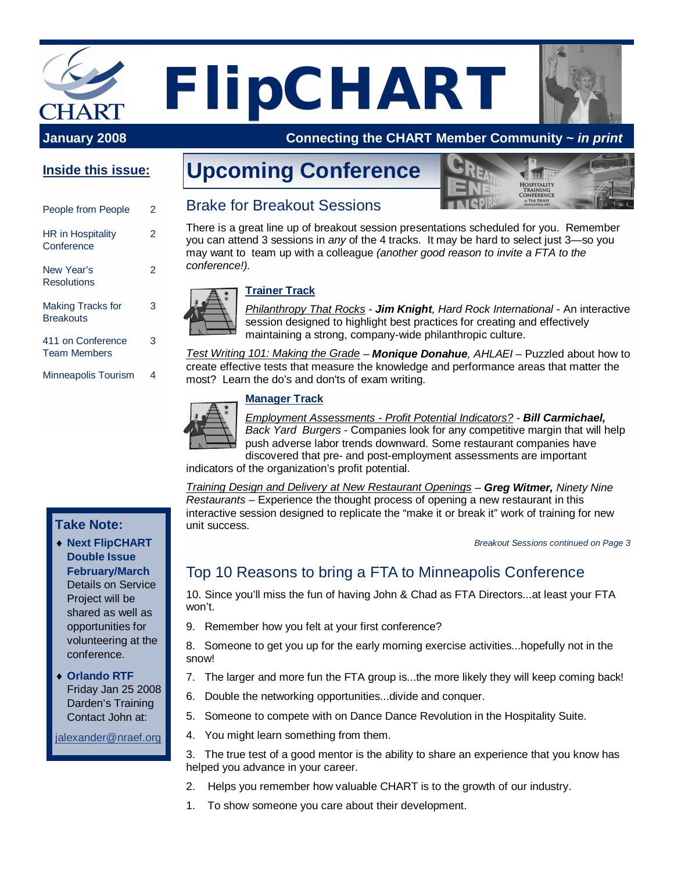# **January 2008** Connecting the CHART MEMBER **FlipCHART**

## **January 2008 Connecting the CHART Member Community ~** *in print*

# **Inside this issue:**

| People from People                           | 2 |
|----------------------------------------------|---|
| <b>HR</b> in Hospitality<br>Conference       | 2 |
| New Year's<br><b>Resolutions</b>             |   |
| <b>Making Tracks for</b><br><b>Breakouts</b> | 3 |
| 411 on Conference<br><b>Team Members</b>     | з |
| <b>Minneapolis Tourism</b>                   |   |

# **Upcoming Conference**



# Brake for Breakout Sessions

There is a great line up of breakout session presentations scheduled for you. Remember you can attend 3 sessions in *any* of the 4 tracks. It may be hard to select just 3—so you may want to team up with a colleague *(another good reason to invite a FTA to the conference!).*



#### **Trainer Track**

*Philanthropy That Rocks - Jim Knight, Hard Rock International* - An interactive session designed to highlight best practices for creating and effectively maintaining a strong, company-wide philanthropic culture.

*Test Writing 101: Making the Grade* – *Monique Donahue, AHLAEI –* Puzzled about how to create effective tests that measure the knowledge and performance areas that matter the most? Learn the do's and don'ts of exam writing.

#### **Manager Track**



*Employment Assessments - Profit Potential Indicators? - Bill Carmichael, Back Yard Burgers* - Companies look for any competitive margin that will help push adverse labor trends downward. Some restaurant companies have discovered that pre- and post-employment assessments are important

indicators of the organization's profit potential.

*Training Design and Delivery at New Restaurant Openings* – *Greg Witmer, Ninety Nine Restaurants* – Experience the thought process of opening a new restaurant in this interactive session designed to replicate the "make it or break it" work of training for new unit success.

*Breakout Sessions continued on Page 3*

# Top 10 Reasons to bring a FTA to Minneapolis Conference

10. Since you'll miss the fun of having John & Chad as FTA Directors...at least your FTA won't.

9. Remember how you felt at your first conference?

8. Someone to get you up for the early morning exercise activities...hopefully not in the snow!

- 7. The larger and more fun the FTA group is...the more likely they will keep coming back!
- 6. Double the networking opportunities...divide and conquer.
- 5. Someone to compete with on Dance Dance Revolution in the Hospitality Suite.
- 4. You might learn something from them.

3. The true test of a good mentor is the ability to share an experience that you know has helped you advance in your career.

- 2. Helps you remember how valuable CHART is to the growth of our industry.
- 1. To show someone you care about their development.

## **Take Note:**

- i**Next FlipCHART Double Issue February/March** Details on Service Project will be shared as well as opportunities for volunteering at the conference.
- ◆ Orlando RTF Friday Jan 25 2008 Darden's Training Contact John at:

[jalexander@nraef.org](mailto:jalexander@nraef.org)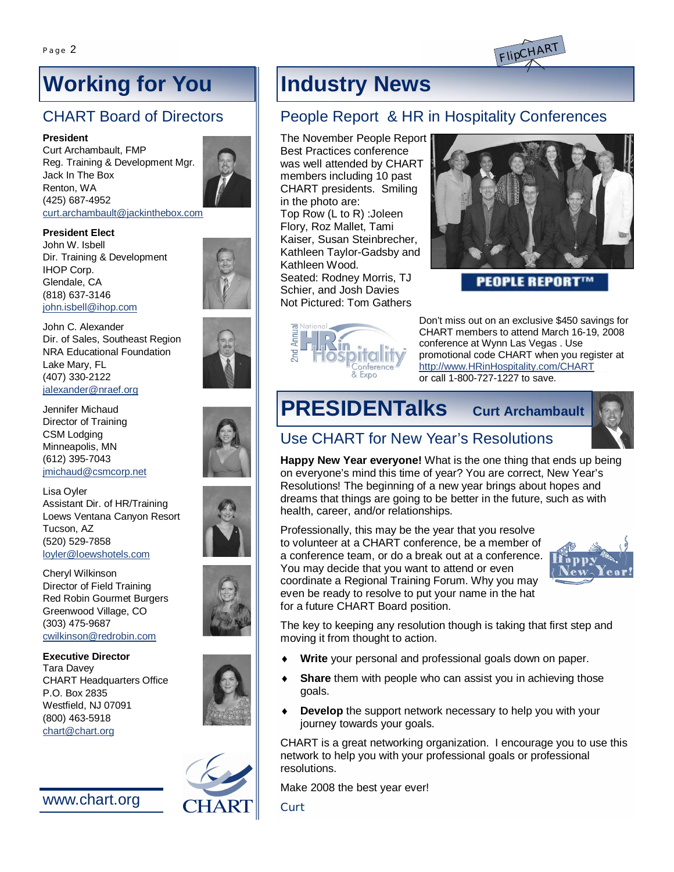

# **Working for You**

# CHART Board of Directors

#### **President**

Curt Archambault, FMP Reg. Training & Development Mgr. Jack In The Box Renton, WA (425) 687-4952 [curt.archambault@jackinthebox.com](mailto:curt.archambault@jackinthebox.com)



#### **President Elect**

John W. Isbell Dir. Training & Development IHOP Corp. Glendale, CA (818) 637-3146 [john.isbell@ihop.com](mailto:john.isbell@ihop.com)



Jennifer Michaud Director of Training CSM Lodging Minneapolis, MN (612) 395-7043 [jmichaud@csmcorp.net](mailto:jmichaud@csmcorp.net)

Lisa Oyler Assistant Dir. of HR/Training Loews Ventana Canyon Resort Tucson, AZ (520) 529-7858 [loyler@loewshotels.com](mailto:loyler@loewshotels.com)

Cheryl Wilkinson Director of Field Training Red Robin Gourmet Burgers Greenwood Village, CO (303) 475-9687 [cwilkinson@redrobin.com](mailto:cwilkinson@redrobin.com)

**Executive Director** Tara Davey CHART Headquarters Office P.O. Box 2835 Westfield, NJ 07091 (800) 463-5918 [chart@chart.org](mailto:chart@chart.org)









# People Report & HR in Hospitality Conferences

The November People Report Best Practices conference was well attended by CHART members including 10 past CHART presidents. Smiling in the photo are: Top Row (L to R) :Joleen Flory, Roz Mallet, Tami Kaiser, Susan Steinbrecher, Kathleen Taylor-Gadsby and Kathleen Wood. Seated: Rodney Morris, TJ

Schier, and Josh Davies Not Pictured: Tom Gathers





**PEOPLE REPORT** 

Don't miss out on an exclusive \$450 savings for CHART members to attend March 16-19, 2008 conference at Wynn Las Vegas . Use promotional code CHART when you register at <http://www.HRinHospitality.com/CHART> or call 1-800-727-1227 to save.

# **PRESIDENTalks Curt Archambault**



# Use CHART for New Year's Resolutions

**Happy New Year everyone!** What is the one thing that ends up being on everyone's mind this time of year? You are correct, New Year's Resolutions! The beginning of a new year brings about hopes and dreams that things are going to be better in the future, such as with health, career, and/or relationships.

Professionally, this may be the year that you resolve to volunteer at a CHART conference, be a member of a conference team, or do a break out at a conference. You may decide that you want to attend or even coordinate a Regional Training Forum. Why you may even be ready to resolve to put your name in the hat for a future CHART Board position.



The key to keeping any resolution though is taking that first step and moving it from thought to action.

- Write your personal and professional goals down on paper.
- **Share** them with people who can assist you in achieving those goals.
- **Develop** the support network necessary to help you with your journey towards your goals.

CHART is a great networking organization. I encourage you to use this network to help you with your professional goals or professional resolutions.

Make 2008 the best year ever!

*Curt*



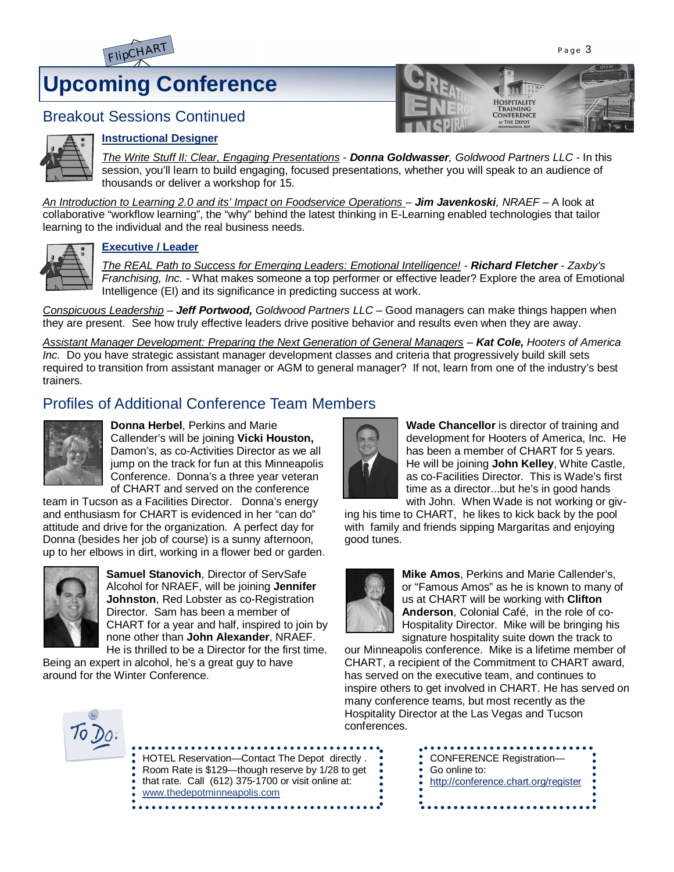

# **Upcoming Conference**



## Breakout Sessions Continued



#### **Instructional Designer**

*The Write Stuff II: Clear, Engaging Presentations* - *Donna Goldwasser, Goldwood Partners LLC -* In this session, you'll learn to build engaging, focused presentations, whether you will speak to an audience of thousands or deliver a workshop for 15.

*An Introduction to Learning 2.0 and its' Impact on Foodservice Operations – Jim Javenkoski, NRAEF –* A look at collaborative "workflow learning", the "why" behind the latest thinking in E-Learning enabled technologies that tailor learning to the individual and the real business needs.



#### **Executive / Leader**

*The REAL Path to Success for Emerging Leaders: Emotional Intelligence! - Richard Fletcher - Zaxby's Franchising, Inc. -* What makes someone a top performer or effective leader? Explore the area of Emotional Intelligence (EI) and its significance in predicting success at work.

*Conspicuous Leadership* – *Jeff Portwood, Goldwood Partners LLC –* Good managers can make things happen when they are present. See how truly effective leaders drive positive behavior and results even when they are away.

*Assistant Manager Development: Preparing the Next Generation of General Managers – Kat Cole, Hooters of America Inc.* Do you have strategic assistant manager development classes and criteria that progressively build skill sets required to transition from assistant manager or AGM to general manager? If not, learn from one of the industry's best trainers.

# Profiles of Additional Conference Team Members



**Donna Herbel**, Perkins and Marie Callender's will be joining **Vicki Houston,** Damon's, as co-Activities Director as we all jump on the track for fun at this Minneapolis Conference. Donna's a three year veteran of CHART and served on the conference

team in Tucson as a Facilities Director. Donna's energy and enthusiasm for CHART is evidenced in her "can do" attitude and drive for the organization. A perfect day for Donna (besides her job of course) is a sunny afternoon, up to her elbows in dirt, working in a flower bed or garden.



**Samuel Stanovich**, Director of ServSafe Alcohol for NRAEF, will be joining **Jennifer Johnston**, Red Lobster as co-Registration Director. Sam has been a member of CHART for a year and half, inspired to join by none other than **John Alexander**, NRAEF. He is thrilled to be a Director for the first time.

Being an expert in alcohol, he's a great guy to have around for the Winter Conference.



**Wade Chancellor** is director of training and development for Hooters of America, Inc. He has been a member of CHART for 5 years. He will be joining **John Kelley**, White Castle, as co-Facilities Director. This is Wade's first time as a director...but he's in good hands with John. When Wade is not working or giv-

ing his time to CHART, he likes to kick back by the pool with family and friends sipping Margaritas and enjoying good tunes.



**Mike Amos**, Perkins and Marie Callender's, or "Famous Amos" as he is known to many of us at CHART will be working with **Clifton Anderson**, Colonial Café, in the role of co-Hospitality Director. Mike will be bringing his signature hospitality suite down the track to

our Minneapolis conference. Mike is a lifetime member of CHART, a recipient of the Commitment to CHART award, has served on the executive team, and continues to inspire others to get involved in CHART. He has served on many conference teams, but most recently as the Hospitality Director at the Las Vegas and Tucson conferences.



| HOTEL Reservation-Contact The Depot directly.<br>Noom Rate is \$129—though reserve by 1/28 to get<br>• that rate. Call (612) 375-1700 or visit online at:<br>www.thedepotminneapolis.com<br>. |
|-----------------------------------------------------------------------------------------------------------------------------------------------------------------------------------------------|
|-----------------------------------------------------------------------------------------------------------------------------------------------------------------------------------------------|

| • Go online to:                      |
|--------------------------------------|
|                                      |
| http://conference.chart.org/register |